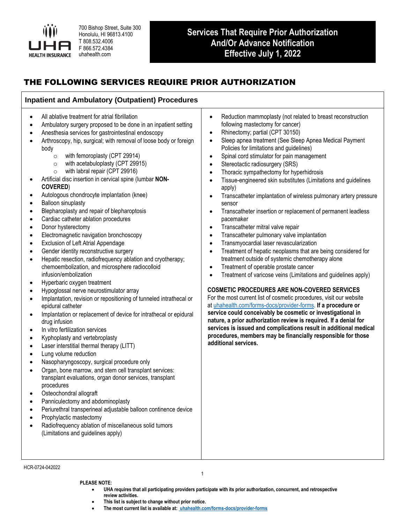

700 Bishop Street, Suite 300 Honolulu, HI 96813.4100 T 808.532.4006 F 866.572.4384 uhahealth.com

# **Services That Require Prior Authorization And/Or Advance Notification Effective July 1, 2022**

# THE FOLLOWING SERVICES REQUIRE PRIOR AUTHORIZATION

## **Inpatient and Ambulatory (Outpatient) Procedures**

- All ablative treatment for atrial fibrillation
- Ambulatory surgery proposed to be done in an inpatient setting
- Anesthesia services for gastrointestinal endoscopy
- Arthroscopy, hip, surgical; with removal of loose body or foreign body
	- o with femoroplasty (CPT 29914)
	- o with acetabuloplasty (CPT 29915)
	- o with labral repair (CPT 29916)
- Artificial disc insertion in cervical spine (lumbar **NON-COVERED**)
- Autologous chondrocyte implantation (knee)
- Balloon sinuplasty
- Blepharoplasty and repair of blepharoptosis
- Cardiac catheter ablation procedures
- Donor hysterectomy
- Electromagnetic navigation bronchoscopy
- Exclusion of Left Atrial Appendage
- Gender identity reconstructive surgery
- Hepatic resection, radiofrequency ablation and cryotherapy; chemoembolization, and microsphere radiocolloid infusion/embolization
- Hyperbaric oxygen treatment
- Hypoglossal nerve neurostimulator array
- Implantation, revision or repositioning of tunneled intrathecal or epidural catheter
- Implantation or replacement of device for intrathecal or epidural drug infusion
- In vitro fertilization services
- Kyphoplasty and vertebroplasty
- Laser interstitial thermal therapy (LITT)
- Lung volume reduction
- Nasopharyngoscopy, surgical procedure only
- Organ, bone marrow, and stem cell transplant services: transplant evaluations, organ donor services, transplant procedures
- Osteochondral allograft
- Panniculectomy and abdominoplasty
- Periurethral transperineal adjustable balloon continence device
- Prophylactic mastectomy
- Radiofrequency ablation of miscellaneous solid tumors (Limitations and guidelines apply)
- Reduction mammoplasty (not related to breast reconstruction following mastectomy for cancer)
- Rhinectomy; partial (CPT 30150)
- Sleep apnea treatment (See Sleep Apnea Medical Payment Policies for limitations and guidelines)
- Spinal cord stimulator for pain management
- Stereotactic radiosurgery (SRS)
- Thoracic sympathectomy for hyperhidrosis
- Tissue-engineered skin substitutes (Limitations and guidelines apply)
- Transcatheter implantation of wireless pulmonary artery pressure sensor
- Transcatheter insertion or replacement of permanent leadless pacemaker
- Transcatheter mitral valve repair
- Transcatheter pulmonary valve implantation
- Transmyocardial laser revascularization
- Treatment of hepatic neoplasms that are being considered for treatment outside of systemic chemotherapy alone
- Treatment of operable prostate cancer
- Treatment of varicose veins (Limitations and guidelines apply)

#### **COSMETIC PROCEDURES ARE NON-COVERED SERVICES**

For the most current list of cosmetic procedures, visit our website at [uhahealth.com/forms-docs/provider-forms.](https://www.uhahealth.com/forms-docs/provider-forms) **If a procedure or service could conceivably be cosmetic or investigational in nature, a prior authorization review is required. If a denial for services is issued and complications result in additional medical procedures, members may be financially responsible for those additional services.** 

HCR-0724-042022

1

- **PLEASE NOTE: PLEASE NOTE:**
	- UHA requires that all participating providers participate with its prior authorization, concurrent, and retrospective review activities.<br>This list is subject to change without prior notice. **review activities.**
	- **This list is subject to change without prior notice.**
	- The most current list is available at[:](https://www.uhahealth.com/forms-docs/provider-forms) *[uhahealth.com/forms-docs/provi](https://uhahealth.com/forms#providers)[der-forms](https://www.uhahealth.com/forms-docs/provider-forms)*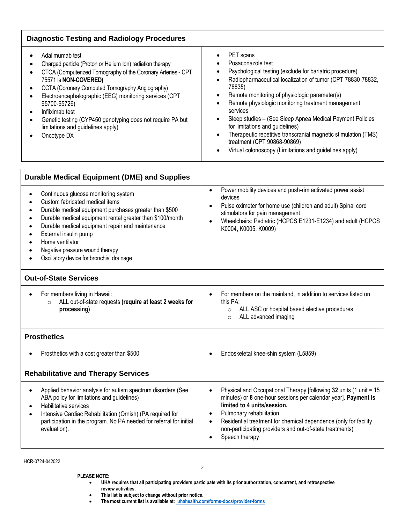| PET scans<br>$\bullet$<br>Posaconazole test<br>Psychological testing (exclude for bariatric procedure)<br>Radiopharmaceutical localization of tumor (CPT 78830-78832,<br>78835)<br>Remote monitoring of physiologic parameter(s)<br>$\bullet$<br>Remote physiologic monitoring treatment management<br>services<br>Sleep studies - (See Sleep Apnea Medical Payment Policies<br>for limitations and guidelines)<br>Therapeutic repetitive transcranial magnetic stimulation (TMS)<br>$\bullet$<br>treatment (CPT 90868-90869)<br>Virtual colonoscopy (Limitations and guidelines apply) |
|-----------------------------------------------------------------------------------------------------------------------------------------------------------------------------------------------------------------------------------------------------------------------------------------------------------------------------------------------------------------------------------------------------------------------------------------------------------------------------------------------------------------------------------------------------------------------------------------|
|                                                                                                                                                                                                                                                                                                                                                                                                                                                                                                                                                                                         |
| Power mobility devices and push-rim activated power assist<br>$\bullet$<br>devices<br>Pulse oximeter for home use (children and adult) Spinal cord<br>stimulators for pain management<br>Wheelchairs: Pediatric (HCPCS E1231-E1234) and adult (HCPCS<br>K0004, K0005, K0009)                                                                                                                                                                                                                                                                                                            |
|                                                                                                                                                                                                                                                                                                                                                                                                                                                                                                                                                                                         |
| For members on the mainland, in addition to services listed on<br>$\bullet$<br>this PA:<br>ALL ASC or hospital based elective procedures<br>$\circ$<br>ALL advanced imaging<br>$\circ$                                                                                                                                                                                                                                                                                                                                                                                                  |
|                                                                                                                                                                                                                                                                                                                                                                                                                                                                                                                                                                                         |
| Endoskeletal knee-shin system (L5859)<br>$\bullet$                                                                                                                                                                                                                                                                                                                                                                                                                                                                                                                                      |
|                                                                                                                                                                                                                                                                                                                                                                                                                                                                                                                                                                                         |
| Physical and Occupational Therapy [following 32 units (1 unit = 15<br>$\bullet$<br>minutes) or 8 one-hour sessions per calendar year]. Payment is<br>limited to 4 units/session.<br>Pulmonary rehabilitation<br>Residential treatment for chemical dependence (only for facility<br>$\bullet$<br>non-participating providers and out-of-state treatments)<br>Speech therapy                                                                                                                                                                                                             |
|                                                                                                                                                                                                                                                                                                                                                                                                                                                                                                                                                                                         |

HCR-0724-042022

**PLEASE NOTE:** • **UHA requires that all participating providers participate with its prior authorization, concurrent, and retrospective review activities.**

2

- **This list is subject to change without prior notice.**
- **The most current list is available at[: uhahealth.com/forms-docs/provider-forms](https://www.uhahealth.com/forms-docs/provider-forms)**